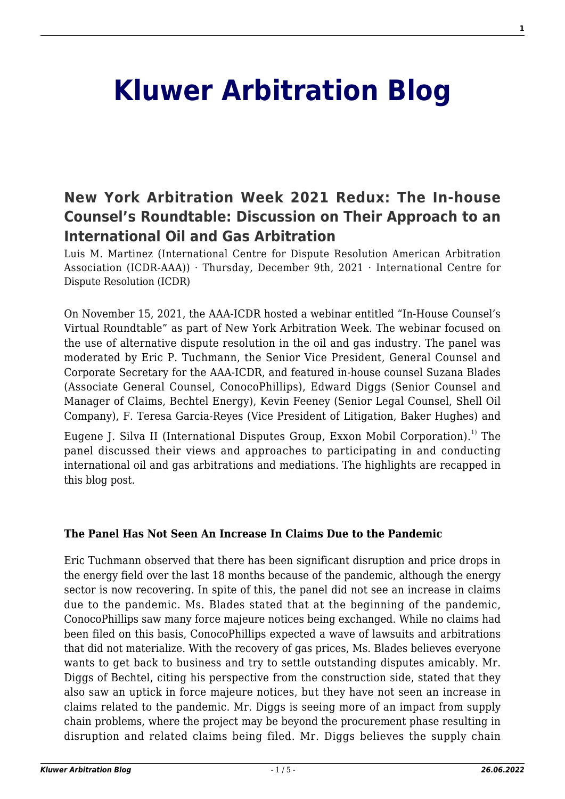# **[Kluwer Arbitration Blog](http://arbitrationblog.kluwerarbitration.com/)**

## **[New York Arbitration Week 2021 Redux: The In‐house](http://arbitrationblog.kluwerarbitration.com/2021/12/09/new-york-arbitration-week-2021-redux-the-in%e2%80%90house-counsels-roundtable-discussion-on-their-approach-to-an-international-oil-and-gas-arbitration/) [Counsel's Roundtable: Discussion on Their Approach to an](http://arbitrationblog.kluwerarbitration.com/2021/12/09/new-york-arbitration-week-2021-redux-the-in%e2%80%90house-counsels-roundtable-discussion-on-their-approach-to-an-international-oil-and-gas-arbitration/) [International Oil and Gas Arbitration](http://arbitrationblog.kluwerarbitration.com/2021/12/09/new-york-arbitration-week-2021-redux-the-in%e2%80%90house-counsels-roundtable-discussion-on-their-approach-to-an-international-oil-and-gas-arbitration/)**

Luis M. Martinez (International Centre for Dispute Resolution American Arbitration Association (ICDR-AAA))  $\cdot$  Thursday, December 9th, 2021  $\cdot$  International Centre for Dispute Resolution (ICDR)

On November 15, 2021, the AAA-ICDR hosted a webinar entitled "In-House Counsel's Virtual Roundtable" as part of New York Arbitration Week. The webinar focused on the use of alternative dispute resolution in the oil and gas industry. The panel was moderated by Eric P. Tuchmann, the Senior Vice President, General Counsel and Corporate Secretary for the AAA-ICDR, and featured in-house counsel Suzana Blades (Associate General Counsel, ConocoPhillips), Edward Diggs (Senior Counsel and Manager of Claims, Bechtel Energy), Kevin Feeney (Senior Legal Counsel, Shell Oil Company), F. Teresa Garcia-Reyes (Vice President of Litigation, Baker Hughes) and

Eugene J. Silva II (International Disputes Group, Exxon Mobil Corporation).<sup>1)</sup> The panel discussed their views and approaches to participating in and conducting international oil and gas arbitrations and mediations. The highlights are recapped in this blog post.

#### **The Panel Has Not Seen An Increase In Claims Due to the Pandemic**

Eric Tuchmann observed that there has been significant disruption and price drops in the energy field over the last 18 months because of the pandemic, although the energy sector is now recovering. In spite of this, the panel did not see an increase in claims due to the pandemic. Ms. Blades stated that at the beginning of the pandemic, ConocoPhillips saw many force majeure notices being exchanged. While no claims had been filed on this basis, ConocoPhillips expected a wave of lawsuits and arbitrations that did not materialize. With the recovery of gas prices, Ms. Blades believes everyone wants to get back to business and try to settle outstanding disputes amicably. Mr. Diggs of Bechtel, citing his perspective from the construction side, stated that they also saw an uptick in force majeure notices, but they have not seen an increase in claims related to the pandemic. Mr. Diggs is seeing more of an impact from supply chain problems, where the project may be beyond the procurement phase resulting in disruption and related claims being filed. Mr. Diggs believes the supply chain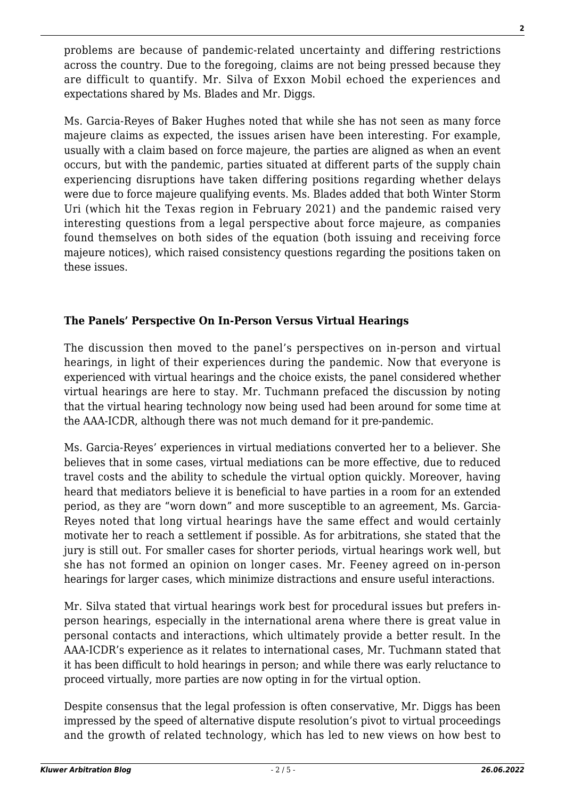problems are because of pandemic-related uncertainty and differing restrictions across the country. Due to the foregoing, claims are not being pressed because they are difficult to quantify. Mr. Silva of Exxon Mobil echoed the experiences and expectations shared by Ms. Blades and Mr. Diggs.

Ms. Garcia-Reyes of Baker Hughes noted that while she has not seen as many force majeure claims as expected, the issues arisen have been interesting. For example, usually with a claim based on force majeure, the parties are aligned as when an event occurs, but with the pandemic, parties situated at different parts of the supply chain experiencing disruptions have taken differing positions regarding whether delays were due to force majeure qualifying events. Ms. Blades added that both Winter Storm Uri (which hit the Texas region in February 2021) and the pandemic raised very interesting questions from a legal perspective about force majeure, as companies found themselves on both sides of the equation (both issuing and receiving force majeure notices), which raised consistency questions regarding the positions taken on these issues.

### **The Panels' Perspective On In-Person Versus Virtual Hearings**

The discussion then moved to the panel's perspectives on in-person and virtual hearings, in light of their experiences during the pandemic. Now that everyone is experienced with virtual hearings and the choice exists, the panel considered whether virtual hearings are here to stay. Mr. Tuchmann prefaced the discussion by noting that the virtual hearing technology now being used had been around for some time at the AAA-ICDR, although there was not much demand for it pre-pandemic.

Ms. Garcia-Reyes' experiences in virtual mediations converted her to a believer. She believes that in some cases, virtual mediations can be more effective, due to reduced travel costs and the ability to schedule the virtual option quickly. Moreover, having heard that mediators believe it is beneficial to have parties in a room for an extended period, as they are "worn down" and more susceptible to an agreement, Ms. Garcia-Reyes noted that long virtual hearings have the same effect and would certainly motivate her to reach a settlement if possible. As for arbitrations, she stated that the jury is still out. For smaller cases for shorter periods, virtual hearings work well, but she has not formed an opinion on longer cases. Mr. Feeney agreed on in-person hearings for larger cases, which minimize distractions and ensure useful interactions.

Mr. Silva stated that virtual hearings work best for procedural issues but prefers inperson hearings, especially in the international arena where there is great value in personal contacts and interactions, which ultimately provide a better result. In the AAA-ICDR's experience as it relates to international cases, Mr. Tuchmann stated that it has been difficult to hold hearings in person; and while there was early reluctance to proceed virtually, more parties are now opting in for the virtual option.

Despite consensus that the legal profession is often conservative, Mr. Diggs has been impressed by the speed of alternative dispute resolution's pivot to virtual proceedings and the growth of related technology, which has led to new views on how best to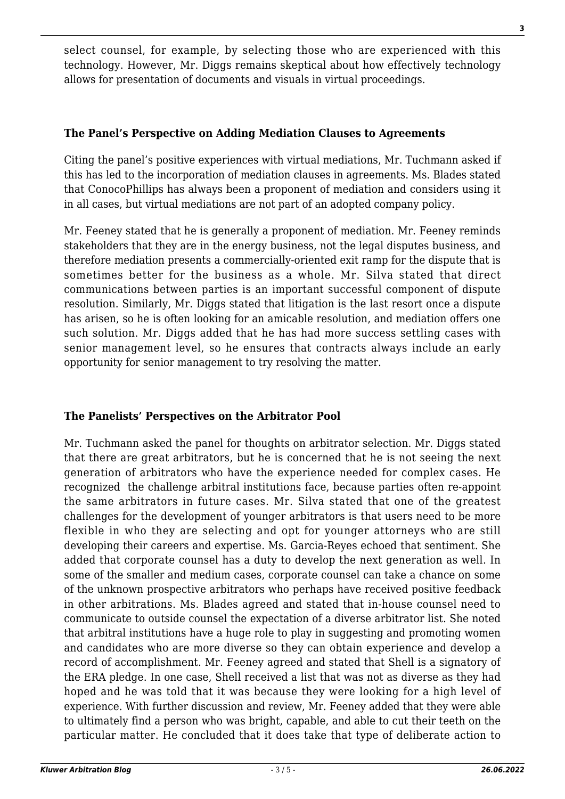select counsel, for example, by selecting those who are experienced with this technology. However, Mr. Diggs remains skeptical about how effectively technology allows for presentation of documents and visuals in virtual proceedings.

#### **The Panel's Perspective on Adding Mediation Clauses to Agreements**

Citing the panel's positive experiences with virtual mediations, Mr. Tuchmann asked if this has led to the incorporation of mediation clauses in agreements. Ms. Blades stated that ConocoPhillips has always been a proponent of mediation and considers using it in all cases, but virtual mediations are not part of an adopted company policy.

Mr. Feeney stated that he is generally a proponent of mediation. Mr. Feeney reminds stakeholders that they are in the energy business, not the legal disputes business, and therefore mediation presents a commercially-oriented exit ramp for the dispute that is sometimes better for the business as a whole. Mr. Silva stated that direct communications between parties is an important successful component of dispute resolution. Similarly, Mr. Diggs stated that litigation is the last resort once a dispute has arisen, so he is often looking for an amicable resolution, and mediation offers one such solution. Mr. Diggs added that he has had more success settling cases with senior management level, so he ensures that contracts always include an early opportunity for senior management to try resolving the matter.

#### **The Panelists' Perspectives on the Arbitrator Pool**

Mr. Tuchmann asked the panel for thoughts on arbitrator selection. Mr. Diggs stated that there are great arbitrators, but he is concerned that he is not seeing the next generation of arbitrators who have the experience needed for complex cases. He recognized the challenge arbitral institutions face, because parties often re-appoint the same arbitrators in future cases. Mr. Silva stated that one of the greatest challenges for the development of younger arbitrators is that users need to be more flexible in who they are selecting and opt for younger attorneys who are still developing their careers and expertise. Ms. Garcia-Reyes echoed that sentiment. She added that corporate counsel has a duty to develop the next generation as well. In some of the smaller and medium cases, corporate counsel can take a chance on some of the unknown prospective arbitrators who perhaps have received positive feedback in other arbitrations. Ms. Blades agreed and stated that in-house counsel need to communicate to outside counsel the expectation of a diverse arbitrator list. She noted that arbitral institutions have a huge role to play in suggesting and promoting women and candidates who are more diverse so they can obtain experience and develop a record of accomplishment. Mr. Feeney agreed and stated that Shell is a signatory of the ERA pledge. In one case, Shell received a list that was not as diverse as they had hoped and he was told that it was because they were looking for a high level of experience. With further discussion and review, Mr. Feeney added that they were able to ultimately find a person who was bright, capable, and able to cut their teeth on the particular matter. He concluded that it does take that type of deliberate action to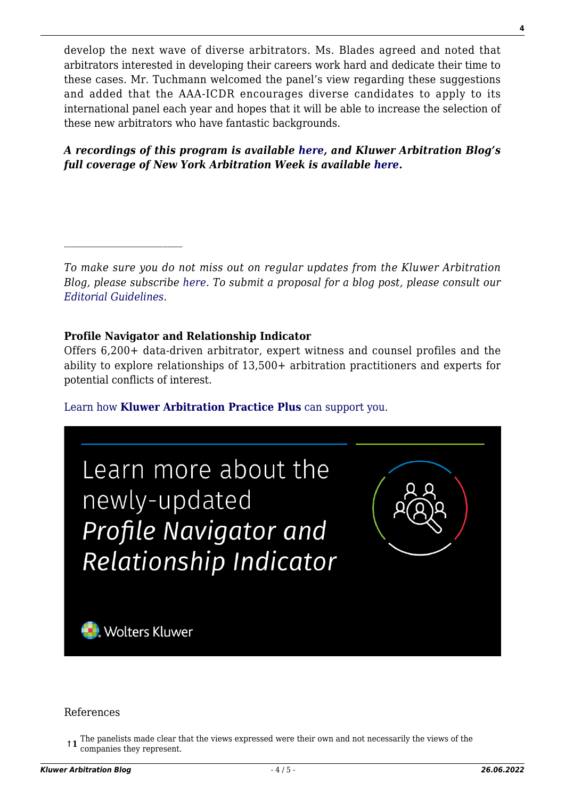develop the next wave of diverse arbitrators. Ms. Blades agreed and noted that arbitrators interested in developing their careers work hard and dedicate their time to these cases. Mr. Tuchmann welcomed the panel's view regarding these suggestions and added that the AAA-ICDR encourages diverse candidates to apply to its international panel each year and hopes that it will be able to increase the selection of these new arbitrators who have fantastic backgrounds.

#### *A recordings of this program is available [here](https://www.icdr.org/index.php/young-and-international), and Kluwer Arbitration Blog's full coverage of New York Arbitration Week is available [here.](http://arbitrationblog.kluwerarbitration.com/category/archives/new-york-arbitration-week/)*

*To make sure you do not miss out on regular updates from the Kluwer Arbitration Blog, please subscribe [here](http://arbitrationblog.kluwerarbitration.com/newsletter/). To submit a proposal for a blog post, please consult our [Editorial Guidelines.](http://arbitrationblog.kluwerarbitration.com/editorial-guidelines/)*

#### **Profile Navigator and Relationship Indicator**

Offers 6,200+ data-driven arbitrator, expert witness and counsel profiles and the ability to explore relationships of 13,500+ arbitration practitioners and experts for potential conflicts of interest.

[Learn how](https://www.wolterskluwer.com/en/solutions/kluwerarbitration/practiceplus?utm_source=arbitrationblog&utm_medium=articleCTA&utm_campaign=article-banner) **[Kluwer Arbitration Practice Plus](https://www.wolterskluwer.com/en/solutions/kluwerarbitration/practiceplus?utm_source=arbitrationblog&utm_medium=articleCTA&utm_campaign=article-banner)** [can support you.](https://www.wolterskluwer.com/en/solutions/kluwerarbitration/practiceplus?utm_source=arbitrationblog&utm_medium=articleCTA&utm_campaign=article-banner)



#### References

**<sup>↑1</sup>** The panelists made clear that the views expressed were their own and not necessarily the views of the companies they represent companies they represent.